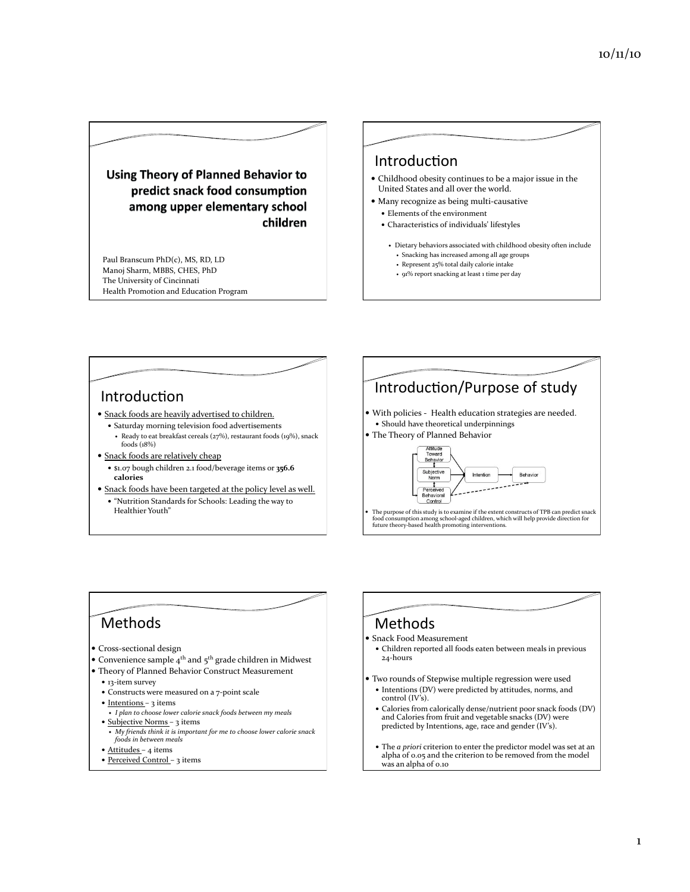**Using Theory of Planned Behavior to** predict snack food consumption among upper elementary school children

Paul Branscum PhD(c), MS, RD, LD Manoj Sharm, MBBS, CHES, PhD The University of Cincinnati Health Promotion and Education Program

#### **Introduction**

- $\bullet$  Childhood obesity continues to be a major issue in the United States and all over the world.
- $\bullet$  Many recognize as being multi-causative
	- $\bullet$  Elements of the environment
	- Characteristics of individuals' lifestyles
		- Dietary behaviors associated with childhood obesity often include • Snacking has increased among all age groups
		- Represent  $25%$  total daily calorie intake
		- 91% report snacking at least 1 time per day
	-



# **Methods**

- Cross-sectional design
- Convenience sample  $4<sup>th</sup>$  and  $5<sup>th</sup>$  grade children in Midwest
- Theory of Planned Behavior Construct Measurement
- $•$  13-item survey
- Constructs were measured on a 7-point scale
- $\bullet$  Intentions 3 items
- *I plan to choose lower calorie snack foods between my meals* • Subjective Norms – 3 items
- **My** friends think it is important for me to choose lower calorie snack  $f$ oods in between meals
- $\bullet$  Attitudes 4 items
- Perceived Control 3 items

## Methods\*

#### Snack Food Measurement

- Children reported all foods eaten between meals in previous 24-hours
- Two rounds of Stepwise multiple regression were used
- $\bullet$  Intentions (DV) were predicted by attitudes, norms, and control  $(IV's)$ .
- $\bullet$  Calories from calorically dense/nutrient poor snack foods (DV) and Calories from fruit and vegetable snacks (DV) were predicted by Intentions, age, race and gender (IV's).
- The *a priori* criterion to enter the predictor model was set at an alpha of  $0.05$  and the criterion to be removed from the model was an alpha of 0.10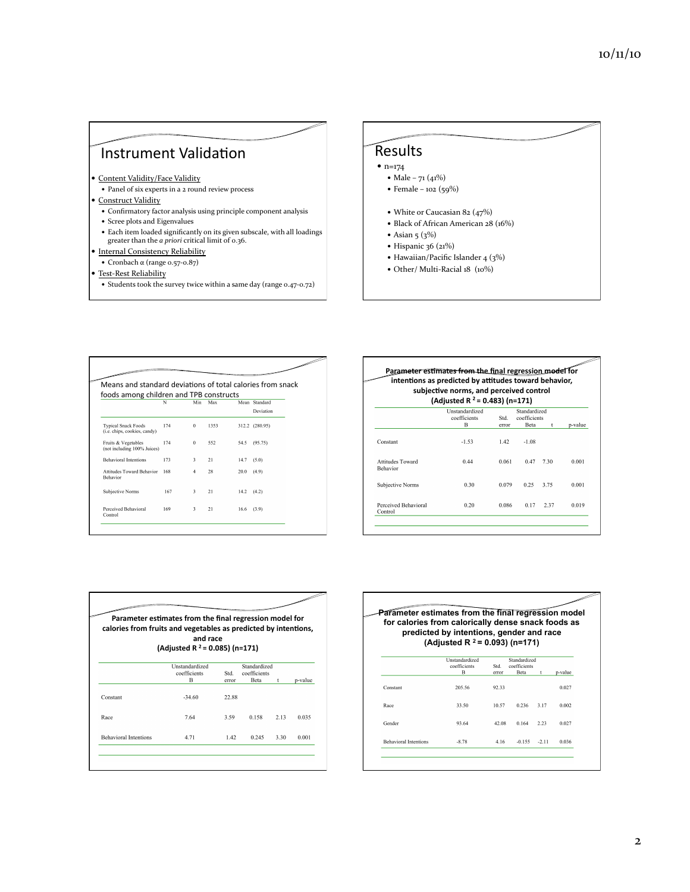## Instrument Validation

- Content Validity/Face Validity
- $\bullet$  Panel of six experts in a 2 round review process
- · Construct Validity
- $\bullet \,$  Confirmatory factor analysis using principle component analysis
- $\bullet\,$  Scree plots and Eigenvalues
- $\bullet$  Each item loaded significantly on its given subscale, with all loadings greater than the *a priori* critical limit of 0.36.
- · Internal Consistency Reliability
	- $\bullet$  Cronbach α (range 0.57-0.87)
- Test-Rest Reliability
- $\bullet\,$  Students took the survey twice within a same day (range 0.47-0.72)

# Results\*

- $\bullet$  n=174
	- Male 71 (41%)
	- $\bullet$  Female 102 (59%)
	- White or Caucasian 82 (47%)
	- $\bullet$  Black of African American 28 (16%)
	- $\bullet$  Asian 5 (3%)
	- $\bullet$  Hispanic 36 (21%)
	- Hawaiian/Pacific Islander  $4(3%)$
	- $\bullet$  Other/ Multi-Racial 18 (10%)

| foods among children and TPB constructs<br>Standard<br>Mean<br>Min<br>Max<br>N |     |                |      |      |                |  |
|--------------------------------------------------------------------------------|-----|----------------|------|------|----------------|--|
|                                                                                |     |                |      |      | Deviation      |  |
| <b>Typical Snack Foods</b><br>(i.e. chips, cookies, candy)                     | 174 | $\theta$       | 1353 |      | 312.2 (280.95) |  |
| Fruits & Vegetables<br>(not including 100% Juices)                             | 174 | $\theta$       | 552  | 54.5 | (95.75)        |  |
| <b>Behavioral Intentions</b>                                                   | 173 | 3              | 21   | 14.7 | (5.0)          |  |
| Attitudes Toward Behavior<br><b>Behavior</b>                                   | 168 | $\overline{4}$ | 28   | 20.0 | (4.9)          |  |
| Subjective Norms                                                               | 167 | 3              | 21   | 14.2 | (4.2)          |  |
| Perceived Behavioral<br>Control                                                | 169 | 3              | 21   | 16.6 | (3.9)          |  |

|                                     | intentions as predicted by attitudes toward behavior,<br>subjective norms, and perceived control<br>(Adjusted R $2$ = 0.483) (n=171) |               |                             |      |         |
|-------------------------------------|--------------------------------------------------------------------------------------------------------------------------------------|---------------|-----------------------------|------|---------|
|                                     | Unstandardized                                                                                                                       |               | Standardized                |      |         |
|                                     | coefficients<br>в                                                                                                                    | Std.<br>error | coefficients<br><b>Beta</b> | t    | p-value |
| Constant                            | $-1.53$                                                                                                                              | 1.42          | $-1.08$                     |      |         |
| Attitudes Toward<br><b>Behavior</b> | 0.44                                                                                                                                 | 0.061         | 0.47                        | 7.30 | 0.001   |
| Subjective Norms                    | 0.30                                                                                                                                 | 0.079         | 0.25                        | 3.75 | 0.001   |
| Perceived Behavioral<br>Control     | 0.20                                                                                                                                 | 0.086         | 0.17                        | 2.37 | 0.019   |

| calories from fruits and vegetables as predicted by intentions, | Parameter estimates from the final regression model for<br>and race<br>(Adjusted R <sup>2</sup> = 0.085) (n=171) |               |                                      |      |         |
|-----------------------------------------------------------------|------------------------------------------------------------------------------------------------------------------|---------------|--------------------------------------|------|---------|
|                                                                 | Unstandardized<br>coefficients<br>R                                                                              | Std.<br>error | Standardized<br>coefficients<br>Beta | t    | p-value |
| Constant                                                        | $-34.60$                                                                                                         | 22.88         |                                      |      |         |
| Race                                                            | 7.64                                                                                                             | 3.59          | 0.158                                | 2.13 | 0.035   |
| <b>Behavioral Intentions</b>                                    | 4.71                                                                                                             | 1.42          | 0.245                                | 3.30 | 0.001   |

|  | (Adjusted R $2$ = 0.093) (n=171) |     | ستعد<br>Parameter estimates from the final regression model<br>for calories from calorically dense snack foods as<br>predicted by intentions, gender and race |  |
|--|----------------------------------|-----|---------------------------------------------------------------------------------------------------------------------------------------------------------------|--|
|  | Unstandardized<br>coefficients   | Std | Standardized<br>coefficients                                                                                                                                  |  |

|                              | coefficients<br>B | Std.<br>error | coefficients<br>Beta | t       | p-value |
|------------------------------|-------------------|---------------|----------------------|---------|---------|
| Constant                     | 205.56            | 92.33         |                      |         | 0.027   |
| Race                         | 33.50             | 10.57         | 0.236                | 3.17    | 0.002   |
| Gender                       | 93.64             | 42.08         | 0.164                | 2.23    | 0.027   |
| <b>Behavioral Intentions</b> | $-8.78$           | 4.16          | $-0.155$             | $-2.11$ | 0.036   |